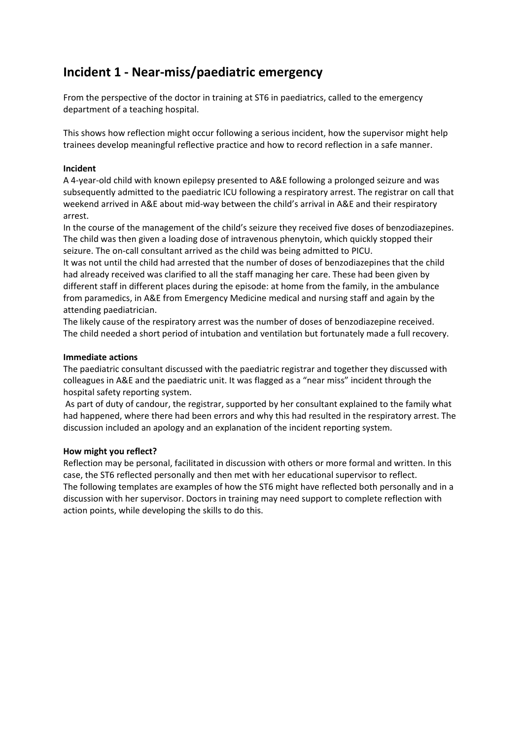# **Incident 1 - Near-miss/paediatric emergency**

From the perspective of the doctor in training at ST6 in paediatrics, called to the emergency department of a teaching hospital.

This shows how reflection might occur following a serious incident, how the supervisor might help trainees develop meaningful reflective practice and how to record reflection in a safe manner.

## **Incident**

A 4-year-old child with known epilepsy presented to A&E following a prolonged seizure and was subsequently admitted to the paediatric ICU following a respiratory arrest. The registrar on call that weekend arrived in A&E about mid-way between the child's arrival in A&E and their respiratory arrest.

In the course of the management of the child's seizure they received five doses of benzodiazepines. The child was then given a loading dose of intravenous phenytoin, which quickly stopped their seizure. The on-call consultant arrived as the child was being admitted to PICU.

It was not until the child had arrested that the number of doses of benzodiazepines that the child had already received was clarified to all the staff managing her care. These had been given by different staff in different places during the episode: at home from the family, in the ambulance from paramedics, in A&E from Emergency Medicine medical and nursing staff and again by the attending paediatrician.

The likely cause of the respiratory arrest was the number of doses of benzodiazepine received. The child needed a short period of intubation and ventilation but fortunately made a full recovery.

#### **Immediate actions**

The paediatric consultant discussed with the paediatric registrar and together they discussed with colleagues in A&E and the paediatric unit. It was flagged as a "near miss" incident through the hospital safety reporting system.

As part of duty of candour, the registrar, supported by her consultant explained to the family what had happened, where there had been errors and why this had resulted in the respiratory arrest. The discussion included an apology and an explanation of the incident reporting system.

#### **How might you reflect?**

Reflection may be personal, facilitated in discussion with others or more formal and written. In this case, the ST6 reflected personally and then met with her educational supervisor to reflect. The following templates are examples of how the ST6 might have reflected both personally and in a discussion with her supervisor. Doctors in training may need support to complete reflection with action points, while developing the skills to do this.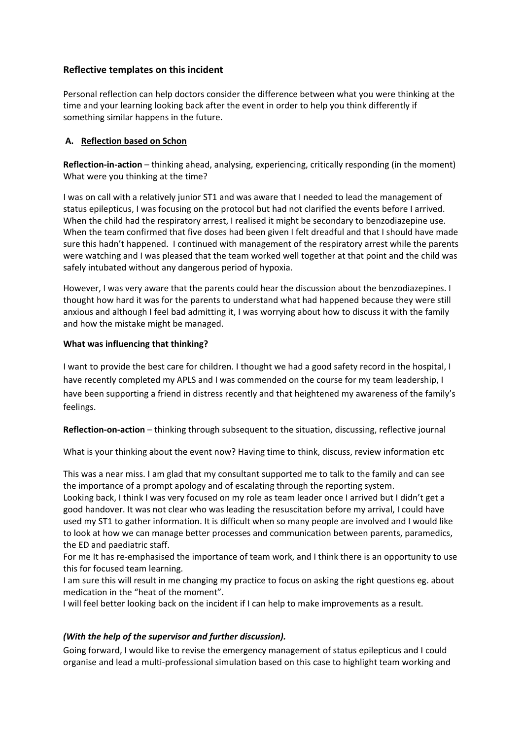# **Reflective templates on this incident**

Personal reflection can help doctors consider the difference between what you were thinking at the time and your learning looking back after the event in order to help you think differently if something similar happens in the future.

# **A. Reflection based on Schon**

**Reflection-in-action** – thinking ahead, analysing, experiencing, critically responding (in the moment) What were you thinking at the time?

I was on call with a relatively junior ST1 and was aware that I needed to lead the management of status epilepticus, I was focusing on the protocol but had not clarified the events before I arrived. When the child had the respiratory arrest, I realised it might be secondary to benzodiazepine use. When the team confirmed that five doses had been given I felt dreadful and that I should have made sure this hadn't happened. I continued with management of the respiratory arrest while the parents were watching and I was pleased that the team worked well together at that point and the child was safely intubated without any dangerous period of hypoxia.

However, I was very aware that the parents could hear the discussion about the benzodiazepines. I thought how hard it was for the parents to understand what had happened because they were still anxious and although I feel bad admitting it, I was worrying about how to discuss it with the family and how the mistake might be managed.

## **What was influencing that thinking?**

I want to provide the best care for children. I thought we had a good safety record in the hospital, I have recently completed my APLS and I was commended on the course for my team leadership, I have been supporting a friend in distress recently and that heightened my awareness of the family's feelings.

**Reflection-on-action** – thinking through subsequent to the situation, discussing, reflective journal

What is your thinking about the event now? Having time to think, discuss, review information etc

This was a near miss. I am glad that my consultant supported me to talk to the family and can see the importance of a prompt apology and of escalating through the reporting system.

Looking back, I think I was very focused on my role as team leader once I arrived but I didn't get a good handover. It was not clear who was leading the resuscitation before my arrival, I could have used my ST1 to gather information. It is difficult when so many people are involved and I would like to look at how we can manage better processes and communication between parents, paramedics, the ED and paediatric staff.

For me It has re-emphasised the importance of team work, and I think there is an opportunity to use this for focused team learning.

I am sure this will result in me changing my practice to focus on asking the right questions eg. about medication in the "heat of the moment".

I will feel better looking back on the incident if I can help to make improvements as a result.

# *(With the help of the supervisor and further discussion).*

Going forward, I would like to revise the emergency management of status epilepticus and I could organise and lead a multi-professional simulation based on this case to highlight team working and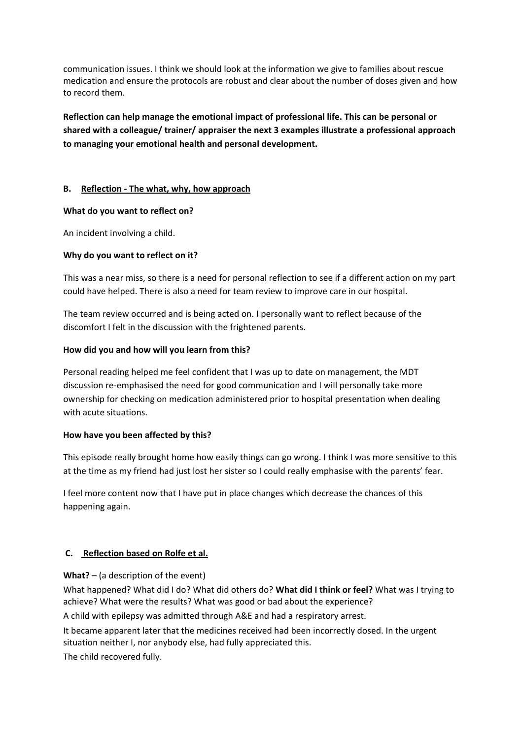communication issues. I think we should look at the information we give to families about rescue medication and ensure the protocols are robust and clear about the number of doses given and how to record them.

**Reflection can help manage the emotional impact of professional life. This can be personal or shared with a colleague/ trainer/ appraiser the next 3 examples illustrate a professional approach to managing your emotional health and personal development.**

## **B. Reflection - The what, why, how approach**

#### **What do you want to reflect on?**

An incident involving a child.

## **Why do you want to reflect on it?**

This was a near miss, so there is a need for personal reflection to see if a different action on my part could have helped. There is also a need for team review to improve care in our hospital.

The team review occurred and is being acted on. I personally want to reflect because of the discomfort I felt in the discussion with the frightened parents.

## **How did you and how will you learn from this?**

Personal reading helped me feel confident that I was up to date on management, the MDT discussion re-emphasised the need for good communication and I will personally take more ownership for checking on medication administered prior to hospital presentation when dealing with acute situations.

#### **How have you been affected by this?**

This episode really brought home how easily things can go wrong. I think I was more sensitive to this at the time as my friend had just lost her sister so I could really emphasise with the parents' fear.

I feel more content now that I have put in place changes which decrease the chances of this happening again.

# **C. Reflection based on Rolfe et al.**

**What?** – (a description of the event)

What happened? What did I do? What did others do? **What did I think or feel?** What was I trying to achieve? What were the results? What was good or bad about the experience?

A child with epilepsy was admitted through A&E and had a respiratory arrest.

It became apparent later that the medicines received had been incorrectly dosed. In the urgent situation neither I, nor anybody else, had fully appreciated this.

The child recovered fully.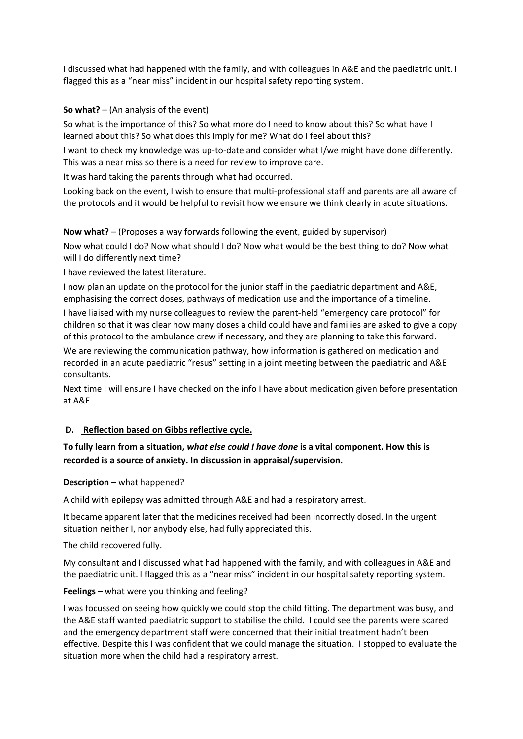I discussed what had happened with the family, and with colleagues in A&E and the paediatric unit. I flagged this as a "near miss" incident in our hospital safety reporting system.

## **So what?** – (An analysis of the event)

So what is the importance of this? So what more do I need to know about this? So what have I learned about this? So what does this imply for me? What do I feel about this?

I want to check my knowledge was up-to-date and consider what I/we might have done differently. This was a near miss so there is a need for review to improve care.

It was hard taking the parents through what had occurred.

Looking back on the event, I wish to ensure that multi-professional staff and parents are all aware of the protocols and it would be helpful to revisit how we ensure we think clearly in acute situations.

**Now what?** – (Proposes a way forwards following the event, guided by supervisor)

Now what could I do? Now what should I do? Now what would be the best thing to do? Now what will I do differently next time?

I have reviewed the latest literature.

I now plan an update on the protocol for the junior staff in the paediatric department and A&E, emphasising the correct doses, pathways of medication use and the importance of a timeline.

I have liaised with my nurse colleagues to review the parent-held "emergency care protocol" for children so that it was clear how many doses a child could have and families are asked to give a copy of this protocol to the ambulance crew if necessary, and they are planning to take this forward.

We are reviewing the communication pathway, how information is gathered on medication and recorded in an acute paediatric "resus" setting in a joint meeting between the paediatric and A&E consultants.

Next time I will ensure I have checked on the info I have about medication given before presentation at A&E

# **D. Reflection based on Gibbs reflective cycle.**

# **To fully learn from a situation,** *what else could I have done* **is a vital component. How this is recorded is a source of anxiety. In discussion in appraisal/supervision.**

#### **Description** – what happened?

A child with epilepsy was admitted through A&E and had a respiratory arrest.

It became apparent later that the medicines received had been incorrectly dosed. In the urgent situation neither I, nor anybody else, had fully appreciated this.

The child recovered fully.

My consultant and I discussed what had happened with the family, and with colleagues in A&E and the paediatric unit. I flagged this as a "near miss" incident in our hospital safety reporting system.

**Feelings** – what were you thinking and feeling?

I was focussed on seeing how quickly we could stop the child fitting. The department was busy, and the A&E staff wanted paediatric support to stabilise the child. I could see the parents were scared and the emergency department staff were concerned that their initial treatment hadn't been effective. Despite this I was confident that we could manage the situation. I stopped to evaluate the situation more when the child had a respiratory arrest.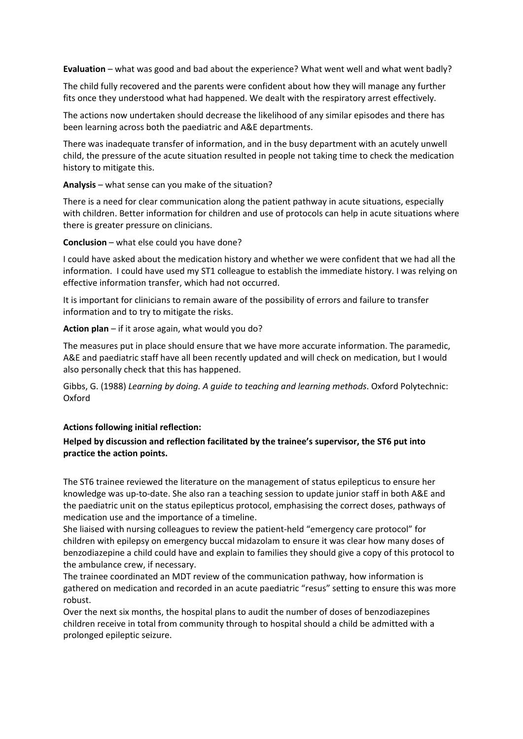**Evaluation** – what was good and bad about the experience? What went well and what went badly?

The child fully recovered and the parents were confident about how they will manage any further fits once they understood what had happened. We dealt with the respiratory arrest effectively.

The actions now undertaken should decrease the likelihood of any similar episodes and there has been learning across both the paediatric and A&E departments.

There was inadequate transfer of information, and in the busy department with an acutely unwell child, the pressure of the acute situation resulted in people not taking time to check the medication history to mitigate this.

**Analysis** – what sense can you make of the situation?

There is a need for clear communication along the patient pathway in acute situations, especially with children. Better information for children and use of protocols can help in acute situations where there is greater pressure on clinicians.

**Conclusion** – what else could you have done?

I could have asked about the medication history and whether we were confident that we had all the information. I could have used my ST1 colleague to establish the immediate history. I was relying on effective information transfer, which had not occurred.

It is important for clinicians to remain aware of the possibility of errors and failure to transfer information and to try to mitigate the risks.

**Action plan** – if it arose again, what would you do?

The measures put in place should ensure that we have more accurate information. The paramedic, A&E and paediatric staff have all been recently updated and will check on medication, but I would also personally check that this has happened.

Gibbs, G. (1988) *Learning by doing. A guide to teaching and learning methods*. Oxford Polytechnic: Oxford

**Actions following initial reflection:**

## **Helped by discussion and reflection facilitated by the trainee's supervisor, the ST6 put into practice the action points.**

The ST6 trainee reviewed the literature on the management of status epilepticus to ensure her knowledge was up-to-date. She also ran a teaching session to update junior staff in both A&E and the paediatric unit on the status epilepticus protocol, emphasising the correct doses, pathways of medication use and the importance of a timeline.

She liaised with nursing colleagues to review the patient-held "emergency care protocol" for children with epilepsy on emergency buccal midazolam to ensure it was clear how many doses of benzodiazepine a child could have and explain to families they should give a copy of this protocol to the ambulance crew, if necessary.

The trainee coordinated an MDT review of the communication pathway, how information is gathered on medication and recorded in an acute paediatric "resus" setting to ensure this was more robust.

Over the next six months, the hospital plans to audit the number of doses of benzodiazepines children receive in total from community through to hospital should a child be admitted with a prolonged epileptic seizure.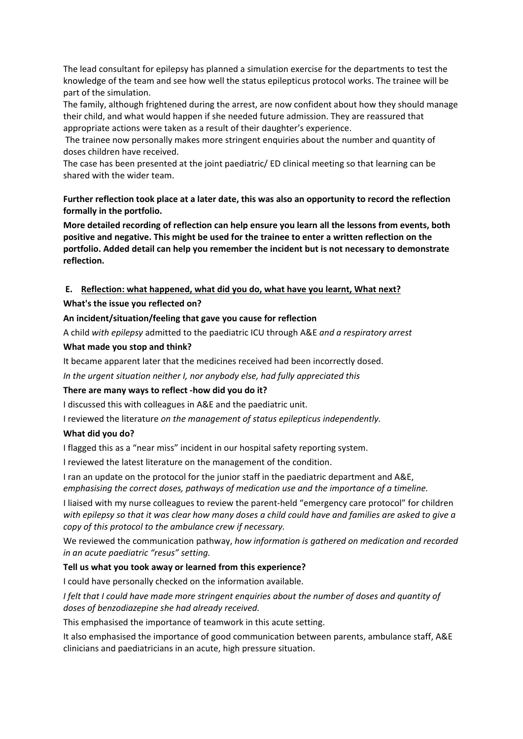The lead consultant for epilepsy has planned a simulation exercise for the departments to test the knowledge of the team and see how well the status epilepticus protocol works. The trainee will be part of the simulation.

The family, although frightened during the arrest, are now confident about how they should manage their child, and what would happen if she needed future admission. They are reassured that appropriate actions were taken as a result of their daughter's experience.

The trainee now personally makes more stringent enquiries about the number and quantity of doses children have received.

The case has been presented at the joint paediatric/ ED clinical meeting so that learning can be shared with the wider team.

**Further reflection took place at a later date, this was also an opportunity to record the reflection formally in the portfolio.**

**More detailed recording of reflection can help ensure you learn all the lessons from events, both positive and negative. This might be used for the trainee to enter a written reflection on the portfolio. Added detail can help you remember the incident but is not necessary to demonstrate reflection.** 

## **E. Reflection: what happened, what did you do, what have you learnt, What next?**

#### **What's the issue you reflected on?**

#### **An incident/situation/feeling that gave you cause for reflection**

A child *with epilepsy* admitted to the paediatric ICU through A&E *and a respiratory arrest* 

#### **What made you stop and think?**

It became apparent later that the medicines received had been incorrectly dosed.

*In the urgent situation neither I, nor anybody else, had fully appreciated this* 

#### **There are many ways to reflect -how did you do it?**

I discussed this with colleagues in A&E and the paediatric unit.

I reviewed the literature *on the management of status epilepticus independently.* 

#### **What did you do?**

I flagged this as a "near miss" incident in our hospital safety reporting system.

I reviewed the latest literature on the management of the condition.

I ran an update on the protocol for the junior staff in the paediatric department and A&E, *emphasising the correct doses, pathways of medication use and the importance of a timeline.* 

I liaised with my nurse colleagues to review the parent-held "emergency care protocol" for children *with epilepsy so that it was clear how many doses a child could have and families are asked to give a copy of this protocol to the ambulance crew if necessary.* 

We reviewed the communication pathway, *how information is gathered on medication and recorded in an acute paediatric "resus" setting.* 

#### **Tell us what you took away or learned from this experience?**

I could have personally checked on the information available.

*I felt that I could have made more stringent enquiries about the number of doses and quantity of doses of benzodiazepine she had already received.* 

This emphasised the importance of teamwork in this acute setting.

It also emphasised the importance of good communication between parents, ambulance staff, A&E clinicians and paediatricians in an acute, high pressure situation.